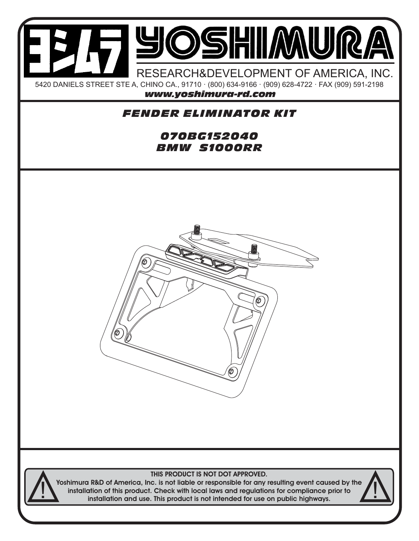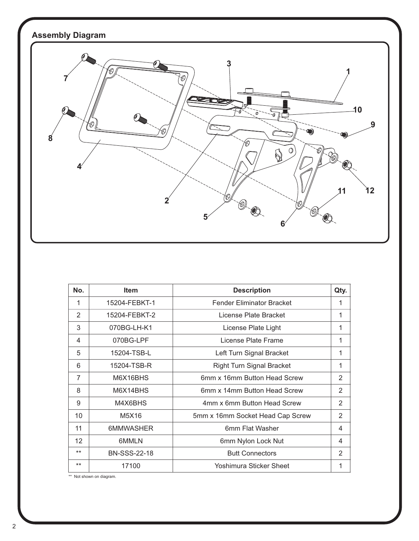

| No.               | <b>Item</b>         | <b>Description</b>               | Qty.           |
|-------------------|---------------------|----------------------------------|----------------|
| 1                 | 15204-FEBKT-1       | <b>Fender Eliminator Bracket</b> | 1              |
| 2                 | 15204-FEBKT-2       | License Plate Bracket            | 1              |
| 3                 | 070BG-LH-K1         | License Plate Light              | 1              |
| 4                 | 070BG-LPF           | License Plate Frame              | 1              |
| 5                 | 15204-TSB-L         | Left Turn Signal Bracket         | 1              |
| 6                 | 15204-TSB-R         | <b>Right Turn Signal Bracket</b> | 1              |
| $\overline{7}$    | M6X16BHS            | 6mm x 16mm Button Head Screw     | $\overline{2}$ |
| 8                 | M6X14BHS            | 6mm x 14mm Button Head Screw     | 2              |
| 9                 | M4X6BHS             | 4mm x 6mm Button Head Screw      | 2              |
| 10                | M5X16               | 5mm x 16mm Socket Head Cap Screw | 2              |
| 11                | 6MMWASHER           | 6mm Flat Washer                  | 4              |
| $12 \overline{ }$ | 6MMLN               | 6mm Nylon Lock Nut               | 4              |
| $***$             | <b>BN-SSS-22-18</b> | <b>Butt Connectors</b>           | 2              |
| $***$             | 17100               | Yoshimura Sticker Sheet          | 1              |

\*\* Not shown on diagram.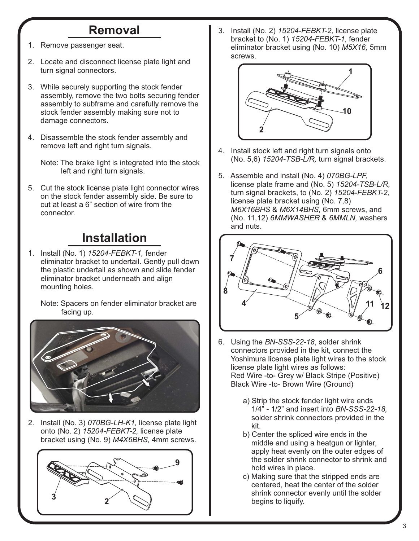## **Removal**

- 1. Remove passenger seat.
- 2. Locate and disconnect license plate light and turn signal connectors.
- 3. While securely supporting the stock fender assembly, remove the two bolts securing fender assembly to subframe and carefully remove the stock fender assembly making sure not to damage connectors.
- 4. Disassemble the stock fender assembly and remove left and right turn signals.

 Note: The brake light is integrated into the stock left and right turn signals.

5. Cut the stock license plate light connector wires on the stock fender assembly side. Be sure to cut at least a 6" section of wire from the connector.

## **Installation**

1. Install (No. 1) *15204-FEBKT-1,* fender eliminator bracket to undertail. Gently pull down the plastic undertail as shown and slide fender eliminator bracket underneath and align mounting holes.

 Note: Spacers on fender eliminator bracket are facing up.



2. Install (No. 3) *070BG-LH-K1,* license plate light onto (No. 2) *15204-FEBKT-2,* license plate bracket using (No. 9) *M4X6BHS,* 4mm screws.



3. Install (No. 2) *15204-FEBKT-2,* license plate bracket to (No. 1) *15204-FEBKT-1,* fender eliminator bracket using (No. 10) *M5X16,* 5mm screws.



- 4. Install stock left and right turn signals onto (No. 5,6) *15204-TSB-L/R,* turn signal brackets.
- 5. Assemble and install (No. 4) *070BG-LPF,* license plate frame and (No. 5) *15204-TSB-L/R,* turn signal brackets, to (No. 2) *15204-FEBKT-2,* license plate bracket using (No. 7,8)  *M6X16BHS* & *M6X14BHS,* 6mm screws, and (No. 11,12) *6MMWASHER* & *6MMLN,* washers and nuts.



- 6. Using the *BN-SSS-22-18*, solder shrink connectors provided in the kit, connect the Yoshimura license plate light wires to the stock license plate light wires as follows: Red Wire -to- Grey w/ Black Stripe (Positive) Black Wire -to- Brown Wire (Ground)
	- a) Strip the stock fender light wire ends 1/4" - 1/2" and insert into *BN-SSS-22-18,* solder shrink connectors provided in the kit.
	- b) Center the spliced wire ends in the middle and using a heatgun or lighter, apply heat evenly on the outer edges of the solder shrink connector to shrink and hold wires in place.
	- c) Making sure that the stripped ends are centered, heat the center of the solder shrink connector evenly until the solder begins to liquify.